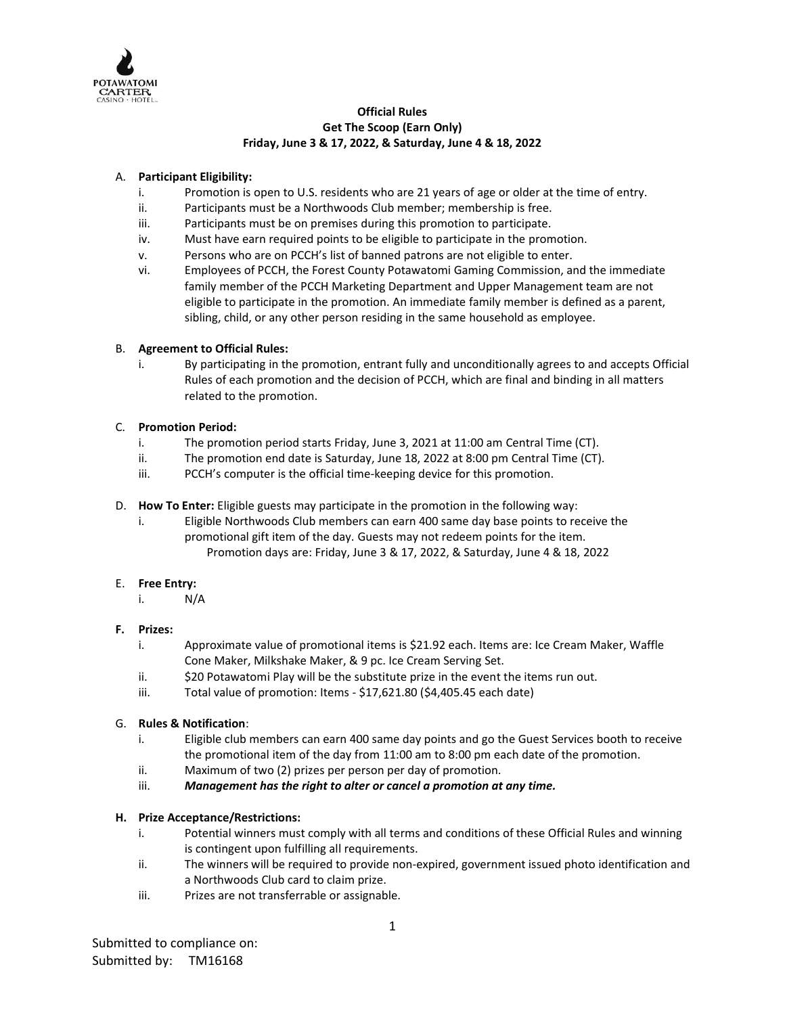

## **Official Rules Get The Scoop (Earn Only) Friday, June 3 & 17, 2022, & Saturday, June 4 & 18, 2022**

# A. **Participant Eligibility:**

- i. Promotion is open to U.S. residents who are 21 years of age or older at the time of entry.
- ii. Participants must be a Northwoods Club member; membership is free.
- iii. Participants must be on premises during this promotion to participate.
- iv. Must have earn required points to be eligible to participate in the promotion.
- v. Persons who are on PCCH's list of banned patrons are not eligible to enter.
- vi. Employees of PCCH, the Forest County Potawatomi Gaming Commission, and the immediate family member of the PCCH Marketing Department and Upper Management team are not eligible to participate in the promotion. An immediate family member is defined as a parent, sibling, child, or any other person residing in the same household as employee.

# B. **Agreement to Official Rules:**

i. By participating in the promotion, entrant fully and unconditionally agrees to and accepts Official Rules of each promotion and the decision of PCCH, which are final and binding in all matters related to the promotion.

# C. **Promotion Period:**

- i. The promotion period starts Friday, June 3, 2021 at 11:00 am Central Time (CT).
- ii. The promotion end date is Saturday, June 18, 2022 at 8:00 pm Central Time (CT).
- iii. PCCH's computer is the official time-keeping device for this promotion.
- D. **How To Enter:** Eligible guests may participate in the promotion in the following way:
	- i. Eligible Northwoods Club members can earn 400 same day base points to receive the promotional gift item of the day. Guests may not redeem points for the item. Promotion days are: Friday, June 3 & 17, 2022, & Saturday, June 4 & 18, 2022

## E. **Free Entry:**

i. N/A

## **F. Prizes:**

- i. Approximate value of promotional items is \$21.92 each. Items are: Ice Cream Maker, Waffle Cone Maker, Milkshake Maker, & 9 pc. Ice Cream Serving Set.
- ii.  $\frac{1}{20}$  Potawatomi Play will be the substitute prize in the event the items run out.
- iii. Total value of promotion: Items \$17,621.80 (\$4,405.45 each date)

## G. **Rules & Notification**:

- i. Eligible club members can earn 400 same day points and go the Guest Services booth to receive the promotional item of the day from 11:00 am to 8:00 pm each date of the promotion.
- ii. Maximum of two (2) prizes per person per day of promotion.
- iii. *Management has the right to alter or cancel a promotion at any time.*

# **H. Prize Acceptance/Restrictions:**

- i. Potential winners must comply with all terms and conditions of these Official Rules and winning is contingent upon fulfilling all requirements.
- ii. The winners will be required to provide non-expired, government issued photo identification and a Northwoods Club card to claim prize.
- iii. Prizes are not transferrable or assignable.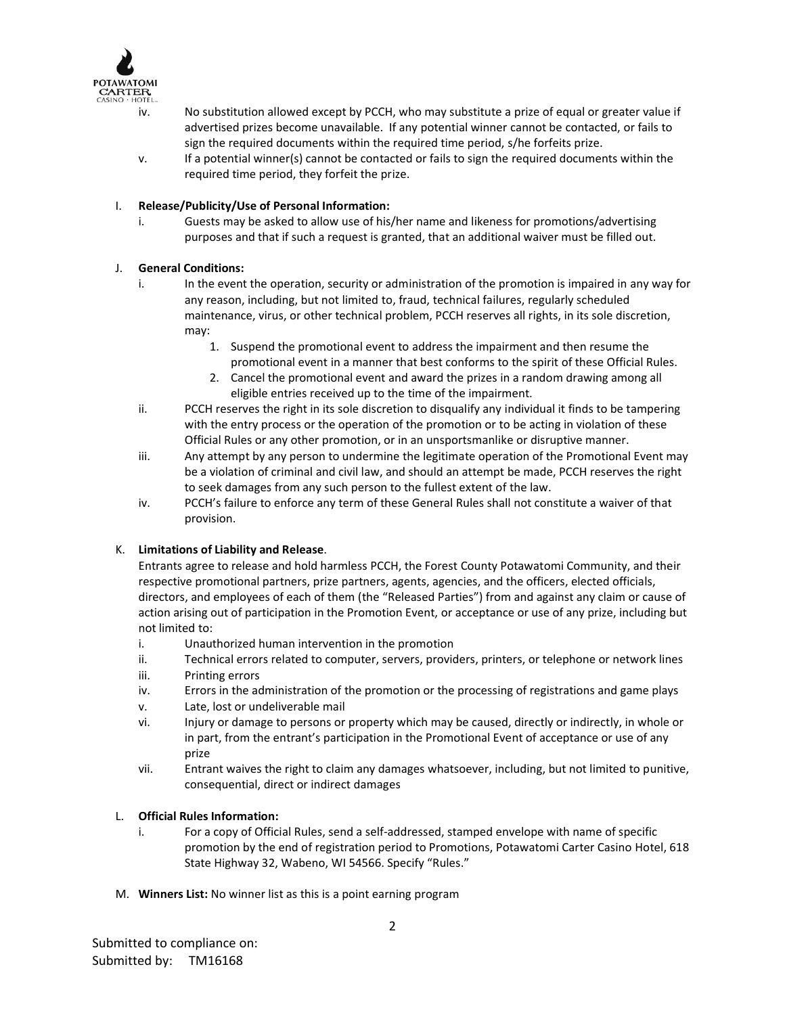

- iv. No substitution allowed except by PCCH, who may substitute a prize of equal or greater value if advertised prizes become unavailable. If any potential winner cannot be contacted, or fails to sign the required documents within the required time period, s/he forfeits prize.
- v. If a potential winner(s) cannot be contacted or fails to sign the required documents within the required time period, they forfeit the prize.

## I. **Release/Publicity/Use of Personal Information:**

i. Guests may be asked to allow use of his/her name and likeness for promotions/advertising purposes and that if such a request is granted, that an additional waiver must be filled out.

### J. **General Conditions:**

- i. In the event the operation, security or administration of the promotion is impaired in any way for any reason, including, but not limited to, fraud, technical failures, regularly scheduled maintenance, virus, or other technical problem, PCCH reserves all rights, in its sole discretion, may:
	- 1. Suspend the promotional event to address the impairment and then resume the promotional event in a manner that best conforms to the spirit of these Official Rules.
	- 2. Cancel the promotional event and award the prizes in a random drawing among all eligible entries received up to the time of the impairment.
- ii. PCCH reserves the right in its sole discretion to disqualify any individual it finds to be tampering with the entry process or the operation of the promotion or to be acting in violation of these Official Rules or any other promotion, or in an unsportsmanlike or disruptive manner.
- iii. Any attempt by any person to undermine the legitimate operation of the Promotional Event may be a violation of criminal and civil law, and should an attempt be made, PCCH reserves the right to seek damages from any such person to the fullest extent of the law.
- iv. PCCH's failure to enforce any term of these General Rules shall not constitute a waiver of that provision.

#### K. **Limitations of Liability and Release**.

Entrants agree to release and hold harmless PCCH, the Forest County Potawatomi Community, and their respective promotional partners, prize partners, agents, agencies, and the officers, elected officials, directors, and employees of each of them (the "Released Parties") from and against any claim or cause of action arising out of participation in the Promotion Event, or acceptance or use of any prize, including but not limited to:

- i. Unauthorized human intervention in the promotion
- ii. Technical errors related to computer, servers, providers, printers, or telephone or network lines
- iii. Printing errors
- iv. Errors in the administration of the promotion or the processing of registrations and game plays
- v. Late, lost or undeliverable mail
- vi. Injury or damage to persons or property which may be caused, directly or indirectly, in whole or in part, from the entrant's participation in the Promotional Event of acceptance or use of any prize
- vii. Entrant waives the right to claim any damages whatsoever, including, but not limited to punitive, consequential, direct or indirect damages

#### L. **Official Rules Information:**

- i. For a copy of Official Rules, send a self-addressed, stamped envelope with name of specific promotion by the end of registration period to Promotions, Potawatomi Carter Casino Hotel, 618 State Highway 32, Wabeno, WI 54566. Specify "Rules."
- M. **Winners List:** No winner list as this is a point earning program